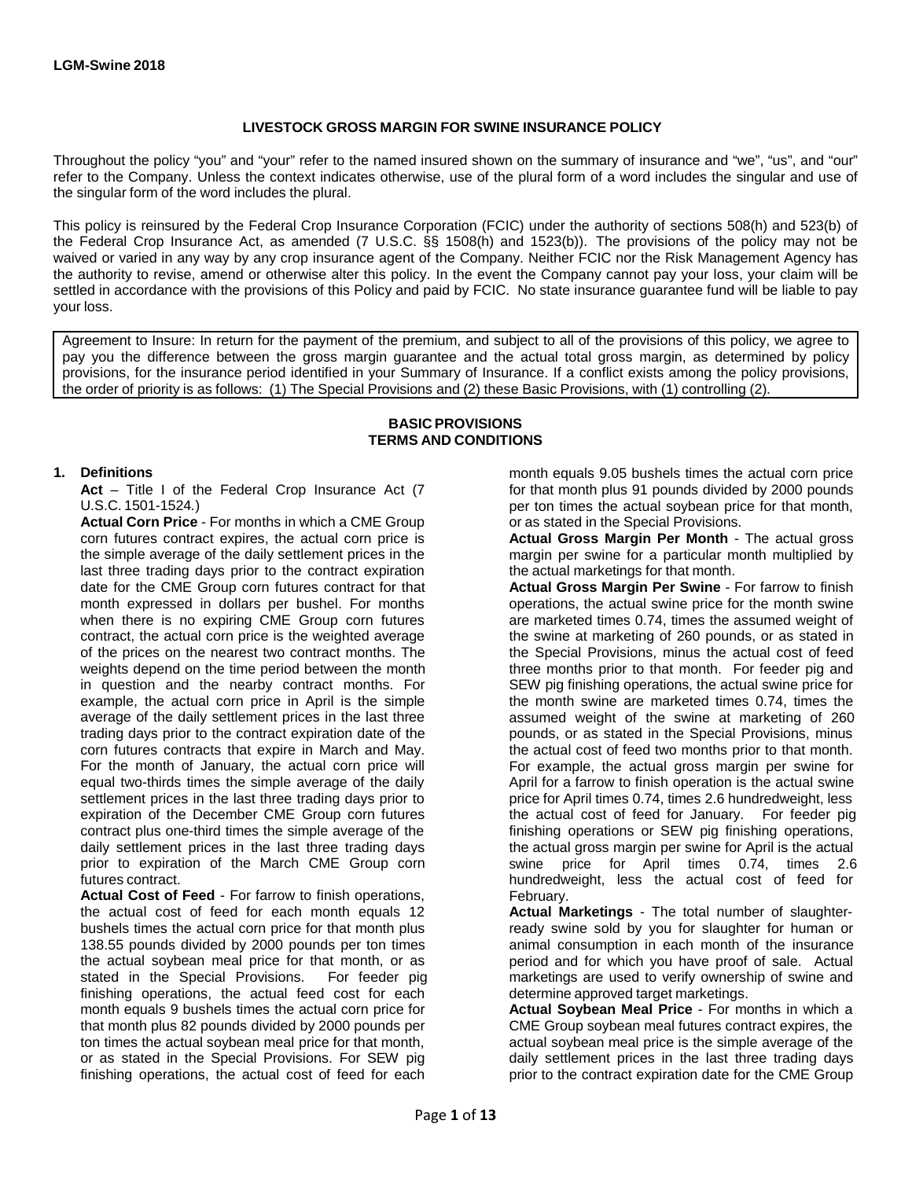## **LIVESTOCK GROSS MARGIN FOR SWINE INSURANCE POLICY**

Throughout the policy "you" and "your" refer to the named insured shown on the summary of insurance and "we", "us", and "our" refer to the Company. Unless the context indicates otherwise, use of the plural form of a word includes the singular and use of the singular form of the word includes the plural.

This policy is reinsured by the Federal Crop Insurance Corporation (FCIC) under the authority of sections 508(h) and 523(b) of the Federal Crop Insurance Act, as amended (7 U.S.C. §§ 1508(h) and 1523(b)). The provisions of the policy may not be waived or varied in any way by any crop insurance agent of the Company. Neither FCIC nor the Risk Management Agency has the authority to revise, amend or otherwise alter this policy. In the event the Company cannot pay your loss, your claim will be settled in accordance with the provisions of this Policy and paid by FCIC. No state insurance guarantee fund will be liable to pay your loss.

Agreement to Insure: In return for the payment of the premium, and subject to all of the provisions of this policy, we agree to pay you the difference between the gross margin guarantee and the actual total gross margin, as determined by policy provisions, for the insurance period identified in your Summary of Insurance. If a conflict exists among the policy provisions, the order of priority is as follows: (1) The Special Provisions and (2) these Basic Provisions, with (1) controlling (2).

#### **BASIC PROVISIONS TERMS AND CONDITIONS**

Act – Title I of the Federal Crop Insurance Act (7 for that month plus 91 pounds divided by 2000 pounds

**Actual Corn Price** - For months in which a CME Group or as stated in the Special Provisions.<br>
corn futures contract expires, the actual corn price is **Actual Gross Margin Per Month** the simple average of the daily settlement prices in the margin per swine for a particular month multiplied by last three trading days prior to the contract expiration the actual marketings for that month.<br>
date for the CME Group corn futures contract for that **Actual Gross Margin Per Swine** - For farrow to finish date for the CME Group corn futures contract for that month expressed in dollars per bushel. For months operations, the actual swine price for the month swine when there is no expiring CME Group corn futures are marketed times 0.74, times the assumed weight of contract, the actual corn price is the weighted average the swine at marketing of 260 pounds, or as stated in of the prices on the nearest two contract months. The the Special Provisions, minus the actual cost of feed weights depend on the time period between the month three months prior to that month. For feeder pig and in question and the nearby contract months. For SEW pig finishing operations, the actual swine price for example, the actual corn price in April is the simple the month swine are marketed times 0.74, times the example, the actual corn price in April is the simple average of the daily settlement prices in the last three assumed weight of the swine at marketing of 260<br>trading days prior to the contract expiration date of the spounds, or as stated in the Special Provisions, minus corn futures contracts that expire in March and May. the actual cost of feed two months prior to that month. For the month of January, the actual corn price will For example, the actual gross margin per swine for equal two-thirds times the simple average of the daily April for a farrow to finish operation is the actual swine settlement prices in the last three trading days prior to price for April times 0.74, times 2.6 hundredweight, less expiration of the December CME Group corn futures the actual cost of feed for January. For feeder pig contract plus one-third times the simple average of the finishing operations or SEW pig finishing operations, daily settlement prices in the last three trading days the actual gross margin per swine for April is the actual prior to expiration of the March CME Group corn swine price for April times 0.74, times 2.6 futures contract.

**Actual Cost of Feed** - For farrow to finish operations, February.<br> **he actual cost of feed for each month equals 12 Actual Marketings - The total number of slaughter**the actual cost of feed for each month equals 12 bushels times the actual corn price for that month plus ready swine sold by you for slaughter for human or all that in the insurance ready swine sold by you for slaughter for human or all that insurance 138.55 pounds divided by 2000 pounds per ton times the actual soybean meal price for that month, or as period and for which you have proof of sale. Actual stated in the Special Provisions. For feeder pig marketings are used to verify ownership of swine and finishing operations, the actual feed cost for each determine approved target marketings. month equals 9 bushels times the actual corn price for **Actual Soybean Meal Price** - For months in which a that month plus 82 pounds divided by 2000 pounds per **Actual Soybean meal** futures contract expires, the ton times the actual soybean meal price for that month, actual soybean meal price is the simple average of the<br>or as stated in the Special Provisions. For SEW pig daily settlement prices in the last three trading days or as stated in the Special Provisions. For SEW pig finishing operations, the actual cost of feed for each prior to the contract expiration date for the CME Group

**1. Definitions 1. Definitions 1. Definitions month equals 9.05 bushels times the actual corn price** U.S.C. 1501-1524*.*) per ton times the actual soybean price for that month,

Actual Gross Margin Per Month - The actual gross

three months prior to that month. For feeder pig and pounds, or as stated in the Special Provisions, minus

CME Group soybean meal futures contract expires, the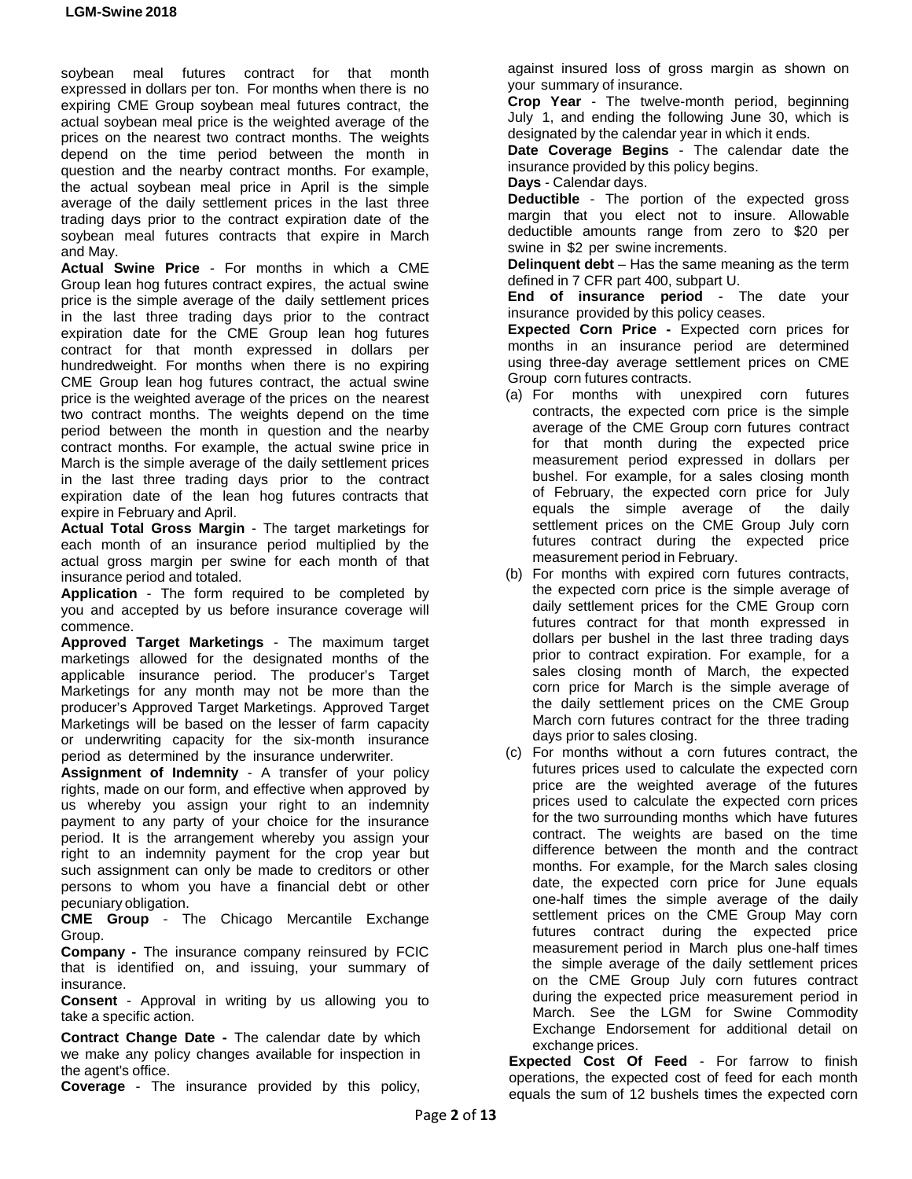soybean meal futures contract for that month expressed in dollars per ton. For months when there is no expiring CME Group soybean meal futures contract, the actual soybean meal price is the weighted average of the prices on the nearest two contract months. The weights depend on the time period between the month in question and the nearby contract months. For example, the actual soybean meal price in April is the simple average of the daily settlement prices in the last three trading days prior to the contract expiration date of the soybean meal futures contracts that expire in March and May.

**Actual Swine Price** - For months in which a CME Group lean hog futures contract expires, the actual swine price is the simple average of the daily settlement prices in the last three trading days prior to the contract expiration date for the CME Group lean hog futures contract for that month expressed in dollars per hundredweight. For months when there is no expiring CME Group lean hog futures contract, the actual swine price is the weighted average of the prices on the nearest two contract months. The weights depend on the time period between the month in question and the nearby contract months. For example, the actual swine price in March is the simple average of the daily settlement prices in the last three trading days prior to the contract expiration date of the lean hog futures contracts that expire in February and April.

**Actual Total Gross Margin** - The target marketings for each month of an insurance period multiplied by the actual gross margin per swine for each month of that insurance period and totaled.

**Application** - The form required to be completed by you and accepted by us before insurance coverage will commence.

**Approved Target Marketings** - The maximum target marketings allowed for the designated months of the applicable insurance period. The producer's Target Marketings for any month may not be more than the producer's Approved Target Marketings. Approved Target Marketings will be based on the lesser of farm capacity or underwriting capacity for the six-month insurance period as determined by the insurance underwriter.

**Assignment of Indemnity** - A transfer of your policy rights, made on our form, and effective when approved by us whereby you assign your right to an indemnity payment to any party of your choice for the insurance period. It is the arrangement whereby you assign your right to an indemnity payment for the crop year but such assignment can only be made to creditors or other persons to whom you have a financial debt or other pecuniary obligation.

**CME Group** - The Chicago Mercantile Exchange Group.

**Company -** The insurance company reinsured by FCIC that is identified on, and issuing, your summary of insurance.

**Consent** - Approval in writing by us allowing you to take a specific action.

**Contract Change Date -** The calendar date by which we make any policy changes available for inspection in the agent's office.

**Coverage** - The insurance provided by this policy,

against insured loss of gross margin as shown on your summary of insurance.

**Crop Year** - The twelve-month period, beginning July 1, and ending the following June 30, which is designated by the calendar year in which it ends.

**Date Coverage Begins** - The calendar date the insurance provided by this policy begins.

**Days** - Calendar days.

**Deductible** - The portion of the expected gross margin that you elect not to insure. Allowable deductible amounts range from zero to \$20 per swine in \$2 per swine increments.

**Delinquent debt** – Has the same meaning as the term defined in 7 CFR part 400, subpart U.

**End of insurance period** - The date your insurance provided by this policy ceases.

**Expected Corn Price -** Expected corn prices for months in an insurance period are determined using three-day average settlement prices on CME Group corn futures contracts.

- (a) For months with unexpired corn futures contracts, the expected corn price is the simple average of the CME Group corn futures contract for that month during the expected price measurement period expressed in dollars per bushel. For example, for a sales closing month of February, the expected corn price for July equals the simple average of the daily settlement prices on the CME Group July corn futures contract during the expected price measurement period in February.
- (b) For months with expired corn futures contracts, the expected corn price is the simple average of daily settlement prices for the CME Group corn futures contract for that month expressed in dollars per bushel in the last three trading days prior to contract expiration. For example, for a sales closing month of March, the expected corn price for March is the simple average of the daily settlement prices on the CME Group March corn futures contract for the three trading days prior to sales closing.
- (c) For months without a corn futures contract, the futures prices used to calculate the expected corn price are the weighted average of the futures prices used to calculate the expected corn prices for the two surrounding months which have futures contract. The weights are based on the time difference between the month and the contract months. For example, for the March sales closing date, the expected corn price for June equals one-half times the simple average of the daily settlement prices on the CME Group May corn futures contract during the expected price measurement period in March plus one-half times the simple average of the daily settlement prices on the CME Group July corn futures contract during the expected price measurement period in March. See the LGM for Swine Commodity Exchange Endorsement for additional detail on exchange prices.

**Expected Cost Of Feed** - For farrow to finish operations, the expected cost of feed for each month equals the sum of 12 bushels times the expected corn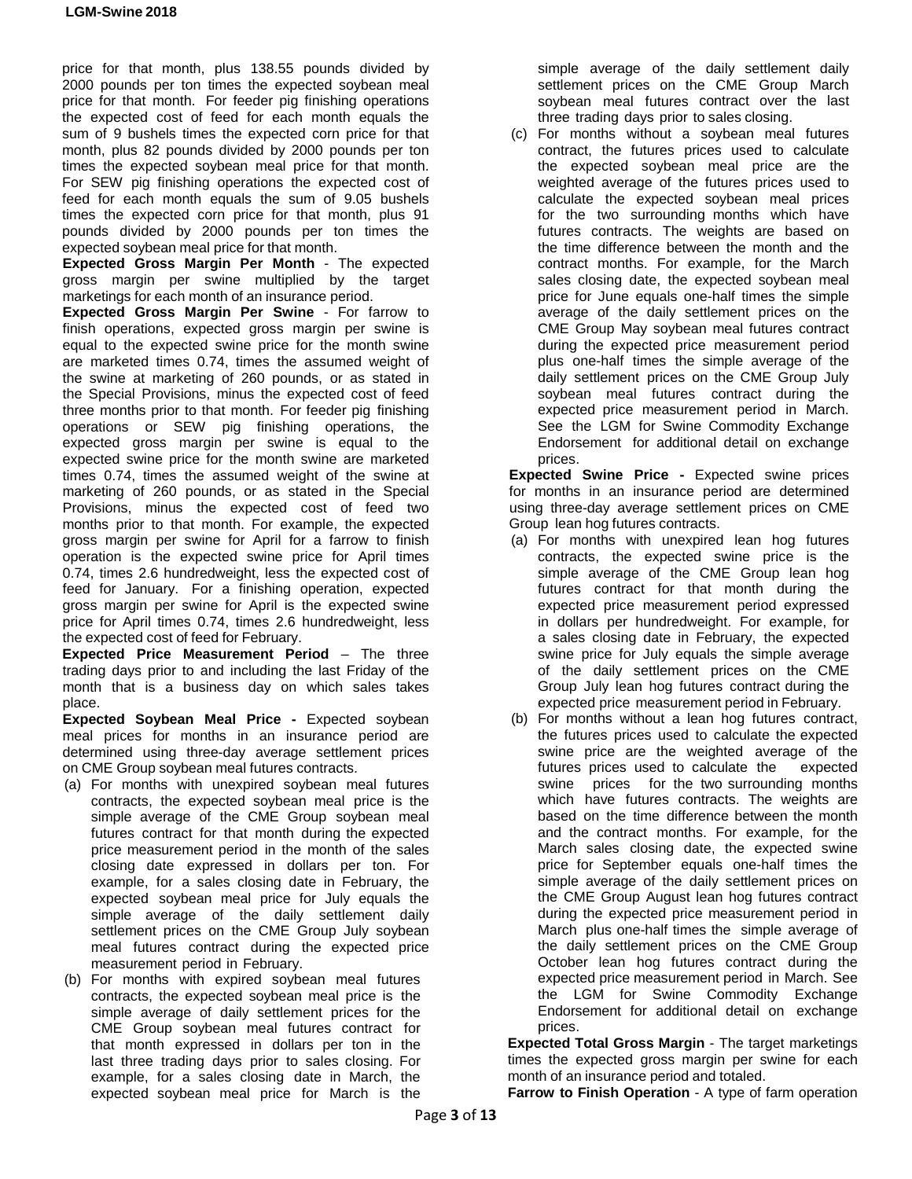price for that month, plus 138.55 pounds divided by 2000 pounds per ton times the expected soybean meal price for that month. For feeder pig finishing operations the expected cost of feed for each month equals the sum of 9 bushels times the expected corn price for that month, plus 82 pounds divided by 2000 pounds per ton times the expected soybean meal price for that month. For SEW pig finishing operations the expected cost of feed for each month equals the sum of 9.05 bushels times the expected corn price for that month, plus 91 pounds divided by 2000 pounds per ton times the expected soybean meal price for that month.

**Expected Gross Margin Per Month** - The expected gross margin per swine multiplied by the target marketings for each month of an insurance period.

**Expected Gross Margin Per Swine** - For farrow to finish operations, expected gross margin per swine is equal to the expected swine price for the month swine are marketed times 0.74, times the assumed weight of the swine at marketing of 260 pounds, or as stated in the Special Provisions, minus the expected cost of feed three months prior to that month. For feeder pig finishing operations or SEW pig finishing operations, the expected gross margin per swine is equal to the expected swine price for the month swine are marketed times 0.74, times the assumed weight of the swine at marketing of 260 pounds, or as stated in the Special Provisions, minus the expected cost of feed two months prior to that month. For example, the expected gross margin per swine for April for a farrow to finish operation is the expected swine price for April times 0.74, times 2.6 hundredweight, less the expected cost of feed for January. For a finishing operation, expected gross margin per swine for April is the expected swine price for April times 0.74, times 2.6 hundredweight, less the expected cost of feed for February.

**Expected Price Measurement Period** – The three trading days prior to and including the last Friday of the month that is a business day on which sales takes place.

**Expected Soybean Meal Price -** Expected soybean meal prices for months in an insurance period are determined using three-day average settlement prices on CME Group soybean meal futures contracts.

- (a) For months with unexpired soybean meal futures contracts, the expected soybean meal price is the simple average of the CME Group soybean meal futures contract for that month during the expected price measurement period in the month of the sales closing date expressed in dollars per ton. For example, for a sales closing date in February, the expected soybean meal price for July equals the simple average of the daily settlement daily settlement prices on the CME Group July soybean meal futures contract during the expected price measurement period in February.
- (b) For months with expired soybean meal futures contracts, the expected soybean meal price is the simple average of daily settlement prices for the CME Group soybean meal futures contract for that month expressed in dollars per ton in the last three trading days prior to sales closing. For example, for a sales closing date in March, the expected soybean meal price for March is the

simple average of the daily settlement daily settlement prices on the CME Group March soybean meal futures contract over the last three trading days prior to sales closing.

(c) For months without a soybean meal futures contract, the futures prices used to calculate the expected soybean meal price are the weighted average of the futures prices used to calculate the expected soybean meal prices for the two surrounding months which have futures contracts. The weights are based on the time difference between the month and the contract months. For example, for the March sales closing date, the expected soybean meal price for June equals one-half times the simple average of the daily settlement prices on the CME Group May soybean meal futures contract during the expected price measurement period plus one-half times the simple average of the daily settlement prices on the CME Group July soybean meal futures contract during the expected price measurement period in March. See the LGM for Swine Commodity Exchange Endorsement for additional detail on exchange prices.

**Expected Swine Price -** Expected swine prices for months in an insurance period are determined using three-day average settlement prices on CME Group lean hog futures contracts.

- (a) For months with unexpired lean hog futures contracts, the expected swine price is the simple average of the CME Group lean hog futures contract for that month during the expected price measurement period expressed in dollars per hundredweight. For example, for a sales closing date in February, the expected swine price for July equals the simple average of the daily settlement prices on the CME Group July lean hog futures contract during the expected price measurement period in February.
- (b) For months without a lean hog futures contract, the futures prices used to calculate the expected swine price are the weighted average of the futures prices used to calculate the expected swine prices for the two surrounding months which have futures contracts. The weights are based on the time difference between the month and the contract months. For example, for the March sales closing date, the expected swine price for September equals one-half times the simple average of the daily settlement prices on the CME Group August lean hog futures contract during the expected price measurement period in March plus one-half times the simple average of the daily settlement prices on the CME Group October lean hog futures contract during the expected price measurement period in March. See the LGM for Swine Commodity Exchange Endorsement for additional detail on exchange prices.

**Expected Total Gross Margin** - The target marketings times the expected gross margin per swine for each month of an insurance period and totaled.

**Farrow to Finish Operation** - A type of farm operation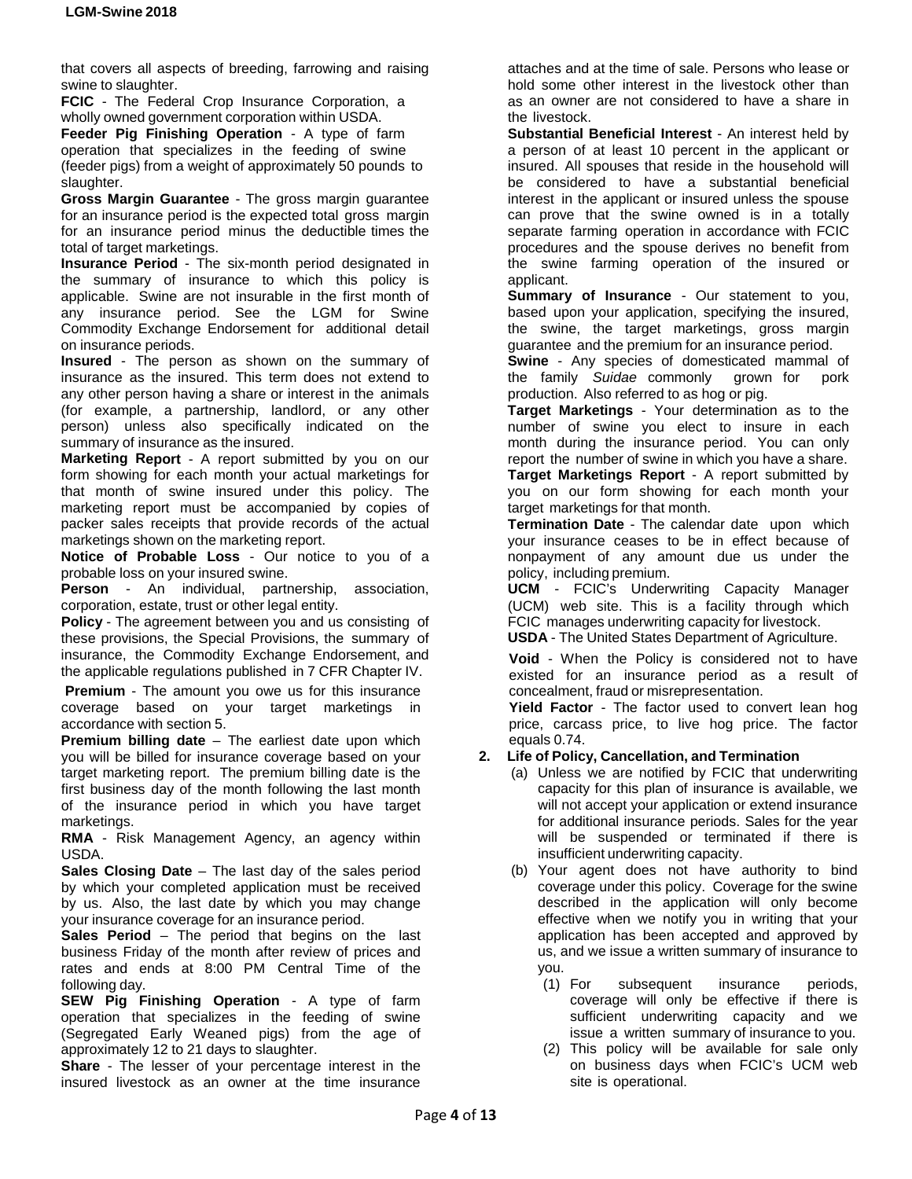that covers all aspects of breeding, farrowing and raising swine to slaughter.

**FCIC** - The Federal Crop Insurance Corporation, a wholly owned government corporation within USDA.

**Feeder Pig Finishing Operation** - A type of farm operation that specializes in the feeding of swine (feeder pigs) from a weight of approximately 50 pounds to slaughter.

**Gross Margin Guarantee** - The gross margin guarantee for an insurance period is the expected total gross margin for an insurance period minus the deductible times the total of target marketings.

**Insurance Period** - The six-month period designated in the summary of insurance to which this policy is applicable. Swine are not insurable in the first month of any insurance period. See the LGM for Swine Commodity Exchange Endorsement for additional detail on insurance periods.

**Insured** - The person as shown on the summary of insurance as the insured. This term does not extend to any other person having a share or interest in the animals (for example, a partnership, landlord, or any other person) unless also specifically indicated on the summary of insurance as the insured.

**Marketing Report** - A report submitted by you on our form showing for each month your actual marketings for that month of swine insured under this policy. The marketing report must be accompanied by copies of packer sales receipts that provide records of the actual marketings shown on the marketing report.

**Notice of Probable Loss** - Our notice to you of a probable loss on your insured swine.

**Person** - An individual, partnership, association, corporation, estate, trust or other legal entity.

**Policy** - The agreement between you and us consisting of these provisions, the Special Provisions, the summary of insurance, the Commodity Exchange Endorsement, and the applicable regulations published in 7 CFR Chapter IV.

**Premium** - The amount you owe us for this insurance coverage based on your target marketings in accordance with section 5.

**Premium billing date** – The earliest date upon which you will be billed for insurance coverage based on your target marketing report. The premium billing date is the first business day of the month following the last month of the insurance period in which you have target marketings.

**RMA** - Risk Management Agency, an agency within USDA.

**Sales Closing Date** – The last day of the sales period by which your completed application must be received by us. Also, the last date by which you may change your insurance coverage for an insurance period.

**Sales Period** – The period that begins on the last business Friday of the month after review of prices and rates and ends at 8:00 PM Central Time of the following day.

**SEW Pig Finishing Operation** - A type of farm operation that specializes in the feeding of swine (Segregated Early Weaned pigs) from the age of approximately 12 to 21 days to slaughter.

**Share** - The lesser of your percentage interest in the insured livestock as an owner at the time insurance attaches and at the time of sale. Persons who lease or hold some other interest in the livestock other than as an owner are not considered to have a share in the livestock.

**Substantial Beneficial Interest** - An interest held by a person of at least 10 percent in the applicant or insured. All spouses that reside in the household will be considered to have a substantial beneficial interest in the applicant or insured unless the spouse can prove that the swine owned is in a totally separate farming operation in accordance with FCIC procedures and the spouse derives no benefit from the swine farming operation of the insured or applicant.

**Summary of Insurance** - Our statement to you, based upon your application, specifying the insured, the swine, the target marketings, gross margin guarantee and the premium for an insurance period.

**Swine** - Any species of domesticated mammal of the family *Suidae* commonly grown for pork production. Also referred to as hog or pig.

**Target Marketings** - Your determination as to the number of swine you elect to insure in each month during the insurance period. You can only report the number of swine in which you have a share. **Target Marketings Report** - A report submitted by you on our form showing for each month your target marketings for that month.

**Termination Date** - The calendar date upon which your insurance ceases to be in effect because of nonpayment of any amount due us under the policy, including premium.

**UCM** - FCIC's Underwriting Capacity Manager (UCM) web site. This is a facility through which FCIC manages underwriting capacity for livestock.

**USDA** - The United States Department of Agriculture.

**Void** - When the Policy is considered not to have existed for an insurance period as a result of concealment, fraud or misrepresentation.

**Yield Factor** - The factor used to convert lean hog price, carcass price, to live hog price. The factor equals 0.74.

## **2. Life of Policy, Cancellation, and Termination**

- (a) Unless we are notified by FCIC that underwriting capacity for this plan of insurance is available, we will not accept your application or extend insurance for additional insurance periods. Sales for the year will be suspended or terminated if there is insufficient underwriting capacity.
- (b) Your agent does not have authority to bind coverage under this policy. Coverage for the swine described in the application will only become effective when we notify you in writing that your application has been accepted and approved by us, and we issue a written summary of insurance to you.
	- (1) For subsequent insurance periods, coverage will only be effective if there is sufficient underwriting capacity and we issue a written summary of insurance to you.
	- (2) This policy will be available for sale only on business days when FCIC's UCM web site is operational.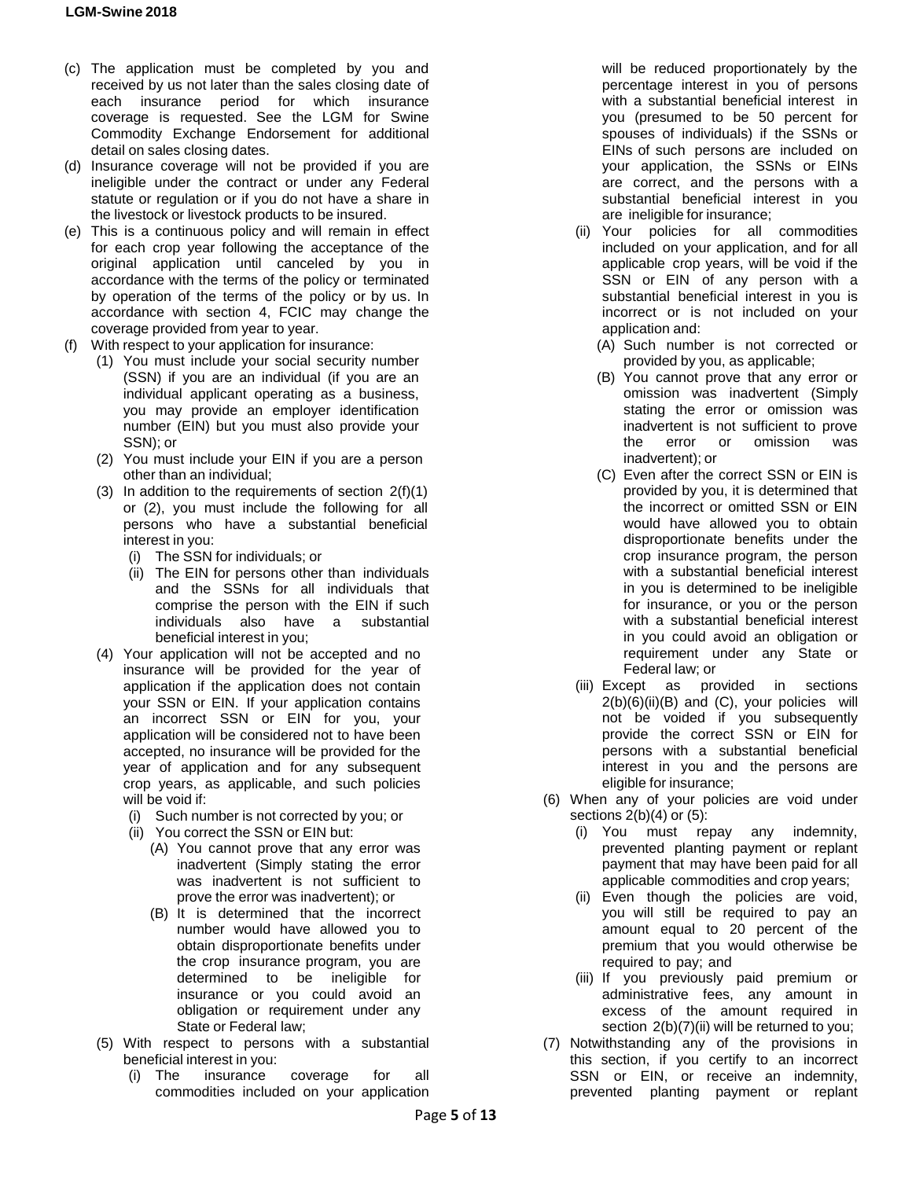- (c) The application must be completed by you and received by us not later than the sales closing date of each insurance period for which insurance coverage is requested. See the LGM for Swine Commodity Exchange Endorsement for additional detail on sales closing dates.
- (d) Insurance coverage will not be provided if you are ineligible under the contract or under any Federal statute or regulation or if you do not have a share in the livestock or livestock products to be insured.
- (e) This is a continuous policy and will remain in effect for each crop year following the acceptance of the original application until canceled by you in accordance with the terms of the policy or terminated by operation of the terms of the policy or by us. In accordance with section 4, FCIC may change the coverage provided from year to year.
- (f) With respect to your application for insurance:
	- (1) You must include your social security number (SSN) if you are an individual (if you are an individual applicant operating as a business, you may provide an employer identification number (EIN) but you must also provide your SSN); or
	- (2) You must include your EIN if you are a person other than an individual;
	- (3) In addition to the requirements of section  $2(f)(1)$ or (2), you must include the following for all persons who have a substantial beneficial interest in you:
		- (i) The SSN for individuals; or
		- (ii) The EIN for persons other than individuals and the SSNs for all individuals that comprise the person with the EIN if such individuals also have a substantial beneficial interest in you;
	- (4) Your application will not be accepted and no insurance will be provided for the year of application if the application does not contain your SSN or EIN. If your application contains an incorrect SSN or EIN for you, your application will be considered not to have been accepted, no insurance will be provided for the year of application and for any subsequent crop years, as applicable, and such policies will be void if:
		- (i) Such number is not corrected by you; or
		- (ii) You correct the SSN or EIN but:
			- (A) You cannot prove that any error was inadvertent (Simply stating the error was inadvertent is not sufficient to prove the error was inadvertent); or
			- (B) It is determined that the incorrect number would have allowed you to obtain disproportionate benefits under the crop insurance program, you are determined to be ineligible for insurance or you could avoid an obligation or requirement under any State or Federal law;
	- (5) With respect to persons with a substantial beneficial interest in you:
		- (i) The insurance coverage for all commodities included on your application

will be reduced proportionately by the percentage interest in you of persons with a substantial beneficial interest in you (presumed to be 50 percent for spouses of individuals) if the SSNs or EINs of such persons are included on your application, the SSNs or EINs are correct, and the persons with a substantial beneficial interest in you are ineligible for insurance;

- (ii) Your policies for all commodities included on your application, and for all applicable crop years, will be void if the SSN or EIN of any person with a substantial beneficial interest in you is incorrect or is not included on your application and:
	- (A) Such number is not corrected or provided by you, as applicable;
	- (B) You cannot prove that any error or omission was inadvertent (Simply stating the error or omission was inadvertent is not sufficient to prove<br>the error or omission was omission was inadvertent); or
	- (C) Even after the correct SSN or EIN is provided by you, it is determined that the incorrect or omitted SSN or EIN would have allowed you to obtain disproportionate benefits under the crop insurance program, the person with a substantial beneficial interest in you is determined to be ineligible for insurance, or you or the person with a substantial beneficial interest in you could avoid an obligation or requirement under any State or Federal law; or
- (iii) Except as provided in sections  $2(b)(6)(ii)(B)$  and  $(C)$ , your policies will not be voided if you subsequently provide the correct SSN or EIN for persons with a substantial beneficial interest in you and the persons are eligible for insurance;
- (6) When any of your policies are void under sections  $2(b)(4)$  or  $(5)$ :
	- (i) You must repay any indemnity, prevented planting payment or replant payment that may have been paid for all applicable commodities and crop years;
	- (ii) Even though the policies are void, you will still be required to pay an amount equal to 20 percent of the premium that you would otherwise be required to pay; and
	- (iii) If you previously paid premium or administrative fees, any amount in excess of the amount required in section 2(b)(7)(ii) will be returned to you;
- (7) Notwithstanding any of the provisions in this section, if you certify to an incorrect SSN or EIN, or receive an indemnity, prevented planting payment or replant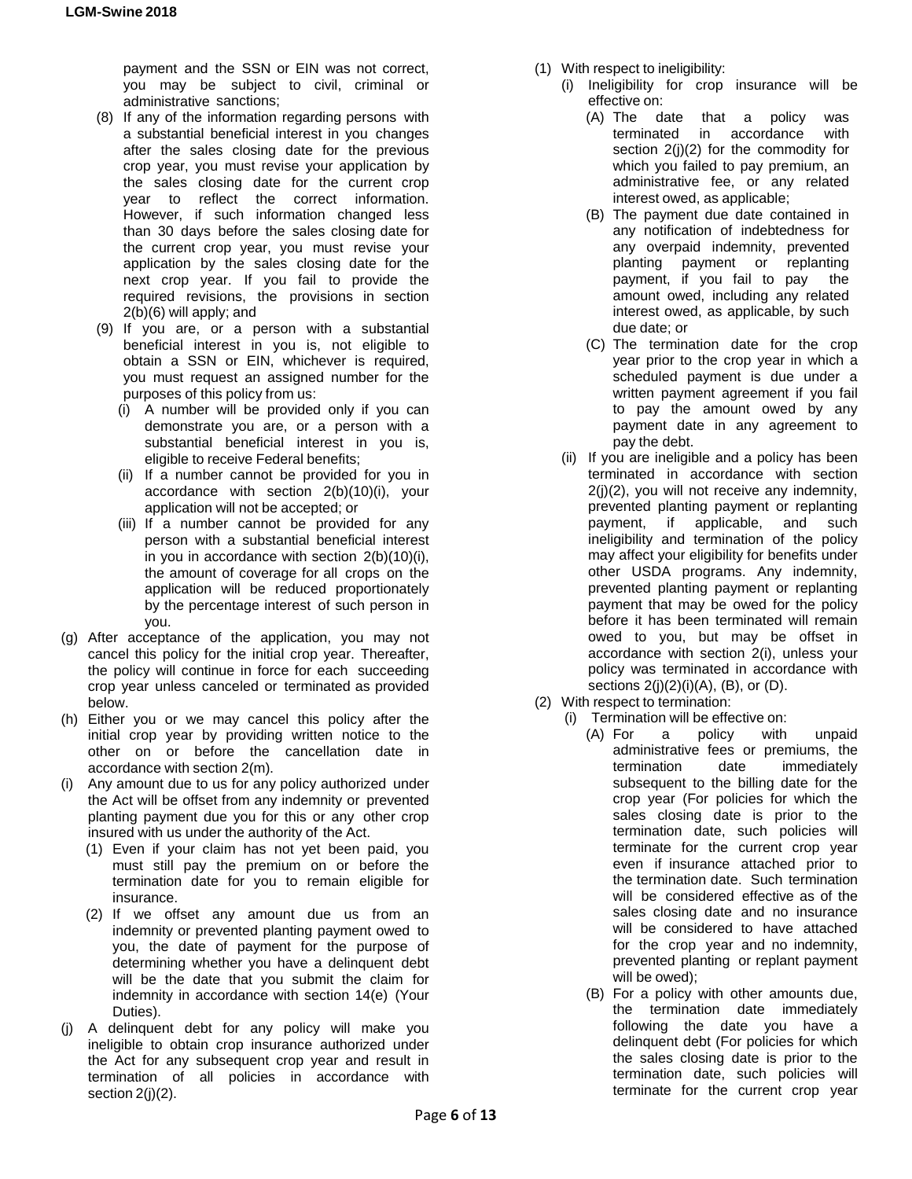payment and the SSN or EIN was not correct, you may be subject to civil, criminal or administrative sanctions;

- (8) If any of the information regarding persons with a substantial beneficial interest in you changes after the sales closing date for the previous crop year, you must revise your application by the sales closing date for the current crop year to reflect the correct information. However, if such information changed less than 30 days before the sales closing date for the current crop year, you must revise your application by the sales closing date for the next crop year. If you fail to provide the required revisions, the provisions in section 2(b)(6) will apply; and
- (9) If you are, or a person with a substantial beneficial interest in you is, not eligible to obtain a SSN or EIN, whichever is required, you must request an assigned number for the purposes of this policy from us:
	- (i) A number will be provided only if you can demonstrate you are, or a person with a substantial beneficial interest in you is, eligible to receive Federal benefits;
	- (ii) If a number cannot be provided for you in accordance with section 2(b)(10)(i), your application will not be accepted; or
	- (iii) If a number cannot be provided for any person with a substantial beneficial interest in you in accordance with section 2(b)(10)(i), the amount of coverage for all crops on the application will be reduced proportionately by the percentage interest of such person in you.
- (g) After acceptance of the application, you may not cancel this policy for the initial crop year. Thereafter, the policy will continue in force for each succeeding crop year unless canceled or terminated as provided below.
- (h) Either you or we may cancel this policy after the initial crop year by providing written notice to the other on or before the cancellation date in accordance with section 2(m).
- (i) Any amount due to us for any policy authorized under the Act will be offset from any indemnity or prevented planting payment due you for this or any other crop insured with us under the authority of the Act.
	- (1) Even if your claim has not yet been paid, you must still pay the premium on or before the termination date for you to remain eligible for insurance.
	- (2) If we offset any amount due us from an indemnity or prevented planting payment owed to you, the date of payment for the purpose of determining whether you have a delinquent debt will be the date that you submit the claim for indemnity in accordance with section 14(e) (Your Duties).
- (j) A delinquent debt for any policy will make you ineligible to obtain crop insurance authorized under the Act for any subsequent crop year and result in termination of all policies in accordance with section 2(j)(2).
- (1) With respect to ineligibility:
	- (i) Ineligibility for crop insurance will be effective on:
		- (A) The date that a policy was terminated in accordance with section 2(j)(2) for the commodity for which you failed to pay premium, an administrative fee, or any related interest owed, as applicable;
		- (B) The payment due date contained in any notification of indebtedness for any overpaid indemnity, prevented planting payment or replanting payment, if you fail to pay the amount owed, including any related interest owed, as applicable, by such due date; or
		- (C) The termination date for the crop year prior to the crop year in which a scheduled payment is due under a written payment agreement if you fail to pay the amount owed by any payment date in any agreement to pay the debt.
	- (ii) If you are ineligible and a policy has been terminated in accordance with section 2(j)(2), you will not receive any indemnity, prevented planting payment or replanting payment, if applicable, and such ineligibility and termination of the policy may affect your eligibility for benefits under other USDA programs. Any indemnity, prevented planting payment or replanting payment that may be owed for the policy before it has been terminated will remain owed to you, but may be offset in accordance with section 2(i), unless your policy was terminated in accordance with sections  $2(j)(2)(i)(A)$ ,  $(B)$ , or  $(D)$ .
- (2) With respect to termination:
	- (i) Termination will be effective on:
		- (A) For a policy with unpaid administrative fees or premiums, the termination date immediately subsequent to the billing date for the crop year (For policies for which the sales closing date is prior to the termination date, such policies will terminate for the current crop year even if insurance attached prior to the termination date. Such termination will be considered effective as of the sales closing date and no insurance will be considered to have attached for the crop year and no indemnity, prevented planting or replant payment will be owed);
		- (B) For a policy with other amounts due, the termination date immediately following the date you have a delinquent debt (For policies for which the sales closing date is prior to the termination date, such policies will terminate for the current crop year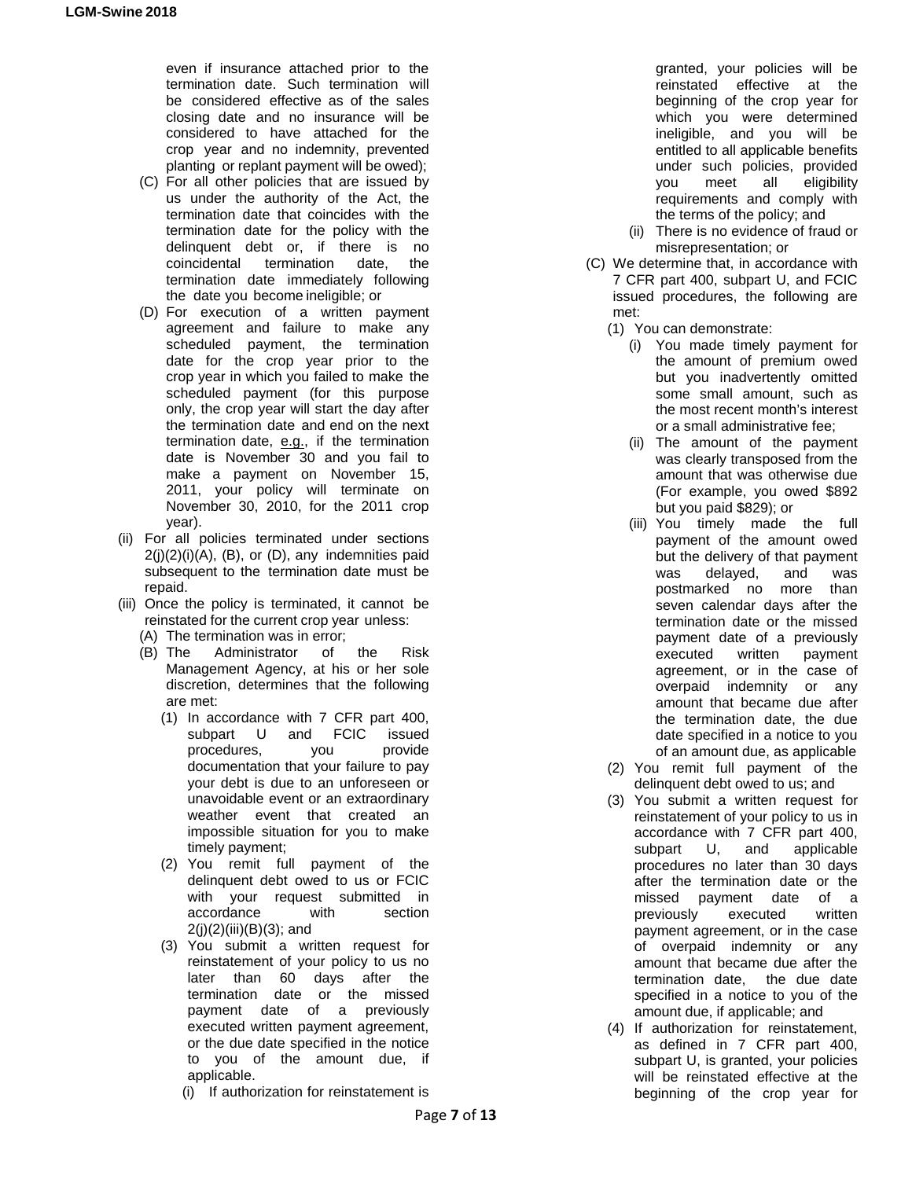even if insurance attached prior to the termination date. Such termination will be considered effective as of the sales closing date and no insurance will be considered to have attached for the crop year and no indemnity, prevented planting or replant payment will be owed);

- (C) For all other policies that are issued by us under the authority of the Act, the termination date that coincides with the termination date for the policy with the delinquent debt or, if there is no coincidental termination date, the termination date immediately following the date you become ineligible; or
- (D) For execution of a written payment agreement and failure to make any scheduled payment, the termination date for the crop year prior to the crop year in which you failed to make the scheduled payment (for this purpose only, the crop year will start the day after the termination date and end on the next termination date, e.g., if the termination date is November 30 and you fail to make a payment on November 15, 2011, your policy will terminate on November 30, 2010, for the 2011 crop year).
- (ii) For all policies terminated under sections  $2(j)(2)(i)(A)$ ,  $(B)$ , or  $(D)$ , any indemnities paid subsequent to the termination date must be repaid.
- (iii) Once the policy is terminated, it cannot be reinstated for the current crop year unless:
	- (A) The termination was in error;
	- (B) The Administrator of the Risk Management Agency, at his or her sole discretion, determines that the following are met:
		- (1) In accordance with 7 CFR part 400, subpart U and FCIC issued procedures, you provide documentation that your failure to pay your debt is due to an unforeseen or unavoidable event or an extraordinary weather event that created an impossible situation for you to make timely payment;
		- (2) You remit full payment of the delinquent debt owed to us or FCIC with your request submitted in accordance with section 2(j)(2)(iii)(B)(3); and
		- (3) You submit a written request for reinstatement of your policy to us no later than 60 days after the termination date or the missed payment date of a previously executed written payment agreement, or the due date specified in the notice to you of the amount due, if applicable.
			- (i) If authorization for reinstatement is

granted, your policies will be reinstated effective at the beginning of the crop year for which you were determined ineligible, and you will be entitled to all applicable benefits under such policies, provided you meet all eligibility requirements and comply with the terms of the policy; and

- (ii) There is no evidence of fraud or misrepresentation; or
- (C) We determine that, in accordance with 7 CFR part 400, subpart U, and FCIC issued procedures, the following are met:
	- (1) You can demonstrate:
		- (i) You made timely payment for the amount of premium owed but you inadvertently omitted some small amount, such as the most recent month's interest or a small administrative fee;
		- (ii) The amount of the payment was clearly transposed from the amount that was otherwise due (For example, you owed \$892 but you paid \$829); or
		- (iii) You timely made the full payment of the amount owed but the delivery of that payment was delayed, and was postmarked no more than seven calendar days after the termination date or the missed payment date of a previously executed written payment agreement, or in the case of overpaid indemnity or any amount that became due after the termination date, the due date specified in a notice to you of an amount due, as applicable
	- (2) You remit full payment of the delinquent debt owed to us; and
	- (3) You submit a written request for reinstatement of your policy to us in accordance with 7 CFR part 400, subpart U, and applicable procedures no later than 30 days after the termination date or the missed payment date of a previously executed written payment agreement, or in the case of overpaid indemnity or any amount that became due after the termination date, the due date specified in a notice to you of the amount due, if applicable; and
	- (4) If authorization for reinstatement, as defined in 7 CFR part 400, subpart U, is granted, your policies will be reinstated effective at the beginning of the crop year for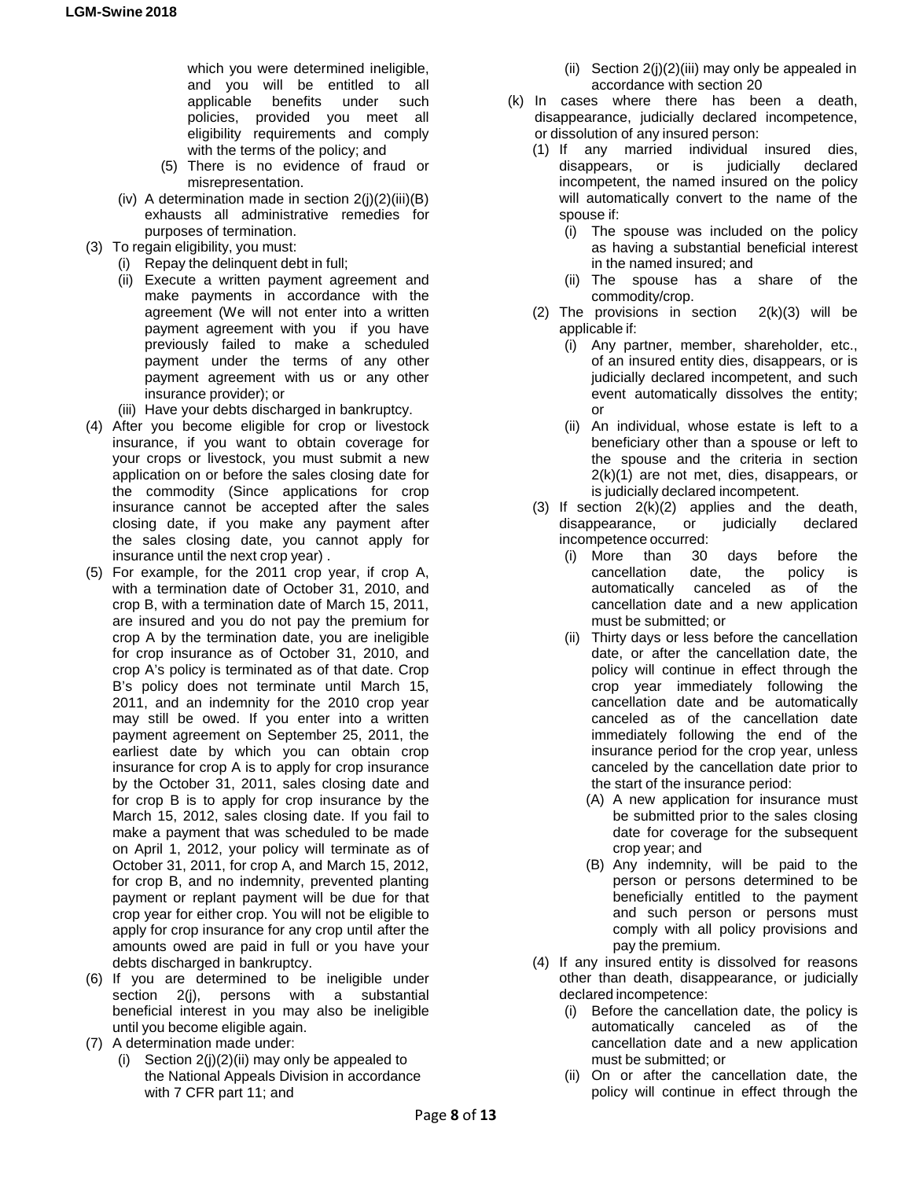which you were determined ineligible, and you will be entitled to all applicable benefits under such policies, provided you meet all eligibility requirements and comply with the terms of the policy; and

- (5) There is no evidence of fraud or misrepresentation.
- (iv) A determination made in section  $2(i)(2)(iii)(B)$ exhausts all administrative remedies for purposes of termination.
- (3) To regain eligibility, you must:
	- (i) Repay the delinquent debt in full;
		- (ii) Execute a written payment agreement and make payments in accordance with the agreement (We will not enter into a written payment agreement with you if you have previously failed to make a scheduled payment under the terms of any other payment agreement with us or any other insurance provider); or
		- (iii) Have your debts discharged in bankruptcy.
- (4) After you become eligible for crop or livestock insurance, if you want to obtain coverage for your crops or livestock, you must submit a new application on or before the sales closing date for the commodity (Since applications for crop insurance cannot be accepted after the sales closing date, if you make any payment after the sales closing date, you cannot apply for insurance until the next crop year) .
- (5) For example, for the 2011 crop year, if crop A, with a termination date of October 31, 2010, and crop B, with a termination date of March 15, 2011, are insured and you do not pay the premium for crop A by the termination date, you are ineligible for crop insurance as of October 31, 2010, and crop A's policy is terminated as of that date. Crop B's policy does not terminate until March 15, 2011, and an indemnity for the 2010 crop year may still be owed. If you enter into a written payment agreement on September 25, 2011, the earliest date by which you can obtain crop insurance for crop A is to apply for crop insurance by the October 31, 2011, sales closing date and for crop B is to apply for crop insurance by the March 15, 2012, sales closing date. If you fail to make a payment that was scheduled to be made on April 1, 2012, your policy will terminate as of October 31, 2011, for crop A, and March 15, 2012, for crop B, and no indemnity, prevented planting payment or replant payment will be due for that crop year for either crop. You will not be eligible to apply for crop insurance for any crop until after the amounts owed are paid in full or you have your debts discharged in bankruptcy.
- (6) If you are determined to be ineligible under section 2(j), persons with a substantial beneficial interest in you may also be ineligible until you become eligible again.
- (7) A determination made under:
	- (i) Section  $2(i)(2)(ii)$  may only be appealed to the National Appeals Division in accordance with 7 CFR part 11; and
- (ii) Section  $2(i)(2)(iii)$  may only be appealed in accordance with section 20
- (k) In cases where there has been a death, disappearance, judicially declared incompetence, or dissolution of any insured person:
	- (1) If any married individual insured dies, disappears, or is judicially declared incompetent, the named insured on the policy will automatically convert to the name of the spouse if:
		- (i) The spouse was included on the policy as having a substantial beneficial interest in the named insured; and
		- (ii) The spouse has a share of the commodity/crop.
	- (2) The provisions in section  $2(k)(3)$  will be applicable if:
		- (i) Any partner, member, shareholder, etc., of an insured entity dies, disappears, or is judicially declared incompetent, and such event automatically dissolves the entity; or
		- (ii) An individual, whose estate is left to a beneficiary other than a spouse or left to the spouse and the criteria in section 2(k)(1) are not met, dies, disappears, or is judicially declared incompetent.
	- (3) If section 2(k)(2) applies and the death, disappearance, or judicially declared incompetence occurred:
		- (i) More than 30 days before the cancellation date, the policy is automatically canceled as of the cancellation date and a new application must be submitted; or
		- (ii) Thirty days or less before the cancellation date, or after the cancellation date, the policy will continue in effect through the crop year immediately following the cancellation date and be automatically canceled as of the cancellation date immediately following the end of the insurance period for the crop year, unless canceled by the cancellation date prior to the start of the insurance period:
			- (A) A new application for insurance must be submitted prior to the sales closing date for coverage for the subsequent crop year; and
			- (B) Any indemnity, will be paid to the person or persons determined to be beneficially entitled to the payment and such person or persons must comply with all policy provisions and pay the premium.
	- (4) If any insured entity is dissolved for reasons other than death, disappearance, or judicially declared incompetence:
		- (i) Before the cancellation date, the policy is automatically canceled as of the cancellation date and a new application must be submitted; or
		- (ii) On or after the cancellation date, the policy will continue in effect through the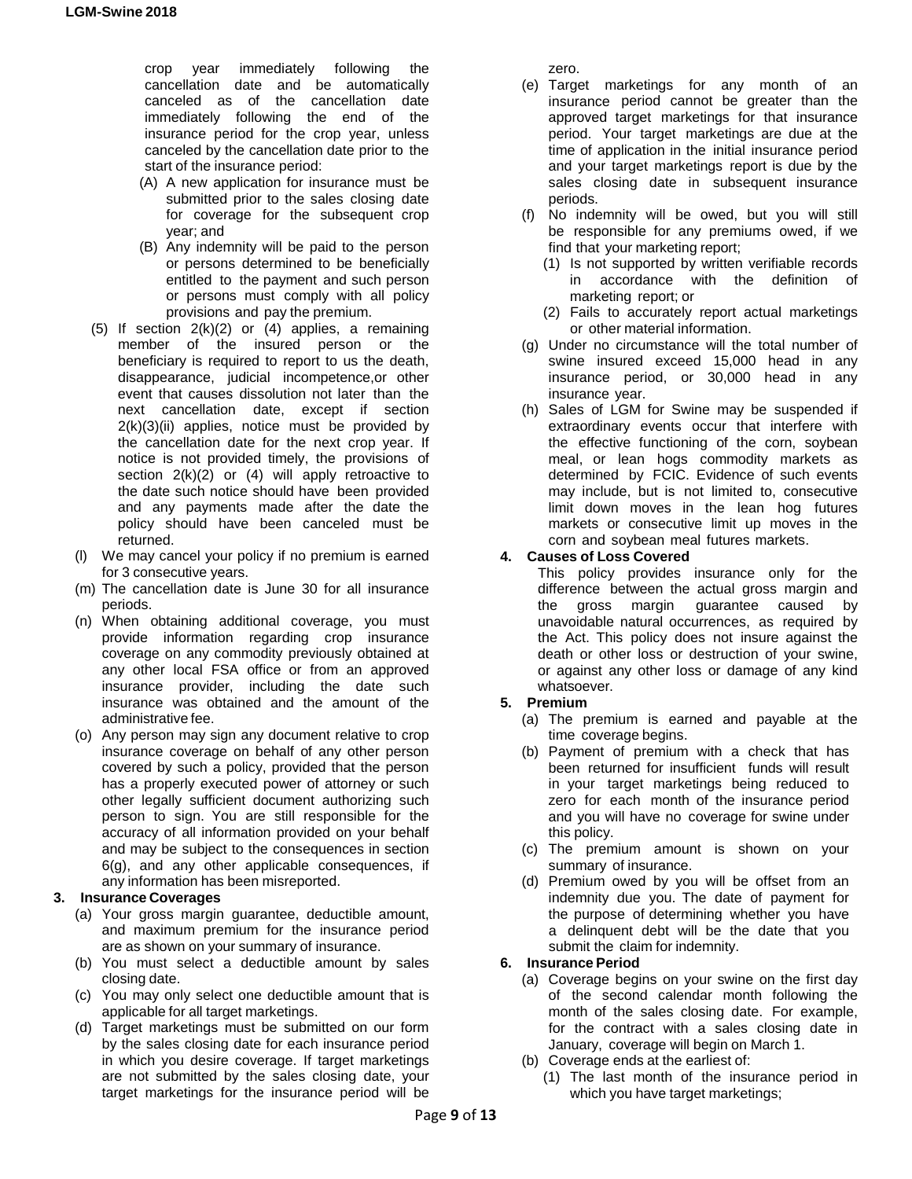crop year immediately following the cancellation date and be automatically canceled as of the cancellation date immediately following the end of the insurance period for the crop year, unless canceled by the cancellation date prior to the start of the insurance period:

- (A) A new application for insurance must be submitted prior to the sales closing date for coverage for the subsequent crop year; and
- (B) Any indemnity will be paid to the person or persons determined to be beneficially entitled to the payment and such person or persons must comply with all policy provisions and pay the premium.
- (5) If section  $2(k)(2)$  or (4) applies, a remaining member of the insured person or the beneficiary is required to report to us the death, disappearance, judicial incompetence,or other event that causes dissolution not later than the next cancellation date, except if section  $2(k)(3)(ii)$  applies, notice must be provided by the cancellation date for the next crop year. If notice is not provided timely, the provisions of section  $2(k)(2)$  or  $(4)$  will apply retroactive to the date such notice should have been provided and any payments made after the date the policy should have been canceled must be returned.
- (l) We may cancel your policy if no premium is earned for 3 consecutive years.
- (m) The cancellation date is June 30 for all insurance periods.
- (n) When obtaining additional coverage, you must provide information regarding crop insurance coverage on any commodity previously obtained at any other local FSA office or from an approved insurance provider, including the date such insurance was obtained and the amount of the administrative fee.
- (o) Any person may sign any document relative to crop insurance coverage on behalf of any other person covered by such a policy, provided that the person has a properly executed power of attorney or such other legally sufficient document authorizing such person to sign. You are still responsible for the accuracy of all information provided on your behalf and may be subject to the consequences in section 6(g), and any other applicable consequences, if any information has been misreported.

# **3. Insurance Coverages**

- (a) Your gross margin guarantee, deductible amount, and maximum premium for the insurance period are as shown on your summary of insurance.
- (b) You must select a deductible amount by sales closing date.
- (c) You may only select one deductible amount that is applicable for all target marketings.
- (d) Target marketings must be submitted on our form by the sales closing date for each insurance period in which you desire coverage. If target marketings are not submitted by the sales closing date, your target marketings for the insurance period will be

zero.

- (e) Target marketings for any month of an insurance period cannot be greater than the approved target marketings for that insurance period. Your target marketings are due at the time of application in the initial insurance period and your target marketings report is due by the sales closing date in subsequent insurance periods.
- (f) No indemnity will be owed, but you will still be responsible for any premiums owed, if we find that your marketing report;
	- (1) Is not supported by written verifiable records in accordance with the definition of marketing report; or
	- (2) Fails to accurately report actual marketings or other material information.
- (g) Under no circumstance will the total number of swine insured exceed 15,000 head in any insurance period, or 30,000 head in any insurance year.
- (h) Sales of LGM for Swine may be suspended if extraordinary events occur that interfere with the effective functioning of the corn, soybean meal, or lean hogs commodity markets as determined by FCIC. Evidence of such events may include, but is not limited to, consecutive limit down moves in the lean hog futures markets or consecutive limit up moves in the corn and soybean meal futures markets.

## **4. Causes of Loss Covered**

This policy provides insurance only for the difference between the actual gross margin and<br>the gross margin guarantee caused by the gross margin guarantee caused unavoidable natural occurrences, as required by the Act. This policy does not insure against the death or other loss or destruction of your swine, or against any other loss or damage of any kind whatsoever.

## **5. Premium**

- (a) The premium is earned and payable at the time coverage begins.
- (b) Payment of premium with a check that has been returned for insufficient funds will result in your target marketings being reduced to zero for each month of the insurance period and you will have no coverage for swine under this policy.
- (c) The premium amount is shown on your summary of insurance.
- (d) Premium owed by you will be offset from an indemnity due you. The date of payment for the purpose of determining whether you have a delinquent debt will be the date that you submit the claim for indemnity.

## **6. Insurance Period**

- (a) Coverage begins on your swine on the first day of the second calendar month following the month of the sales closing date. For example, for the contract with a sales closing date in January, coverage will begin on March 1.
- (b) Coverage ends at the earliest of:
	- (1) The last month of the insurance period in which you have target marketings;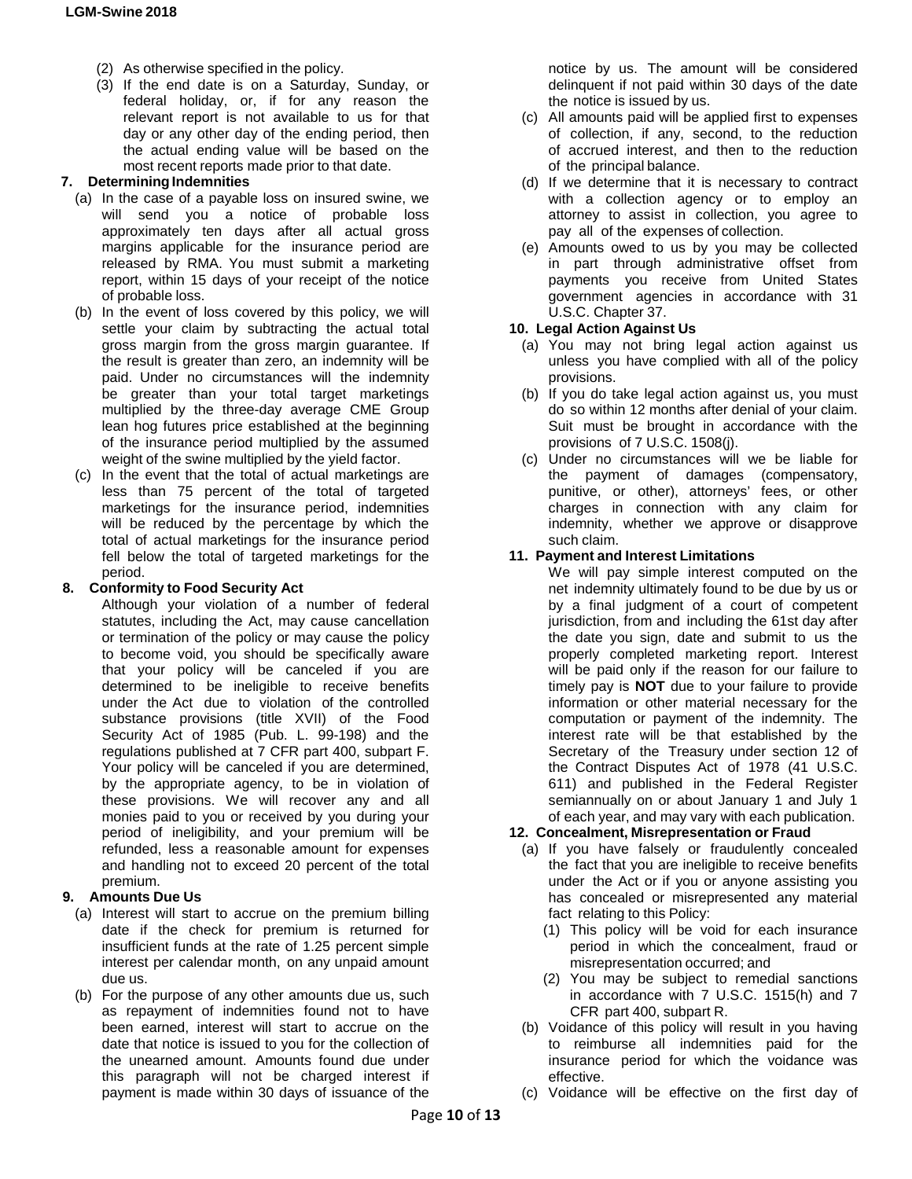- (2) As otherwise specified in the policy.
- (3) If the end date is on a Saturday, Sunday, or federal holiday, or, if for any reason the relevant report is not available to us for that day or any other day of the ending period, then the actual ending value will be based on the most recent reports made prior to that date.

## **7. DeterminingIndemnities**

- (a) In the case of a payable loss on insured swine, we will send you a notice of probable loss approximately ten days after all actual gross margins applicable for the insurance period are released by RMA. You must submit a marketing report, within 15 days of your receipt of the notice of probable loss.
- (b) In the event of loss covered by this policy, we will settle your claim by subtracting the actual total gross margin from the gross margin guarantee. If the result is greater than zero, an indemnity will be paid. Under no circumstances will the indemnity be greater than your total target marketings multiplied by the three-day average CME Group lean hog futures price established at the beginning of the insurance period multiplied by the assumed weight of the swine multiplied by the yield factor.
- (c) In the event that the total of actual marketings are less than 75 percent of the total of targeted marketings for the insurance period, indemnities will be reduced by the percentage by which the total of actual marketings for the insurance period fell below the total of targeted marketings for the period.

## **8. Conformity to Food Security Act**

Although your violation of a number of federal statutes, including the Act, may cause cancellation or termination of the policy or may cause the policy to become void, you should be specifically aware that your policy will be canceled if you are determined to be ineligible to receive benefits under the Act due to violation of the controlled substance provisions (title XVII) of the Food Security Act of 1985 (Pub. L. 99-198) and the regulations published at 7 CFR part 400, subpart F. Your policy will be canceled if you are determined, by the appropriate agency, to be in violation of these provisions. We will recover any and all monies paid to you or received by you during your period of ineligibility, and your premium will be refunded, less a reasonable amount for expenses and handling not to exceed 20 percent of the total premium.

## **9. Amounts Due Us**

- (a) Interest will start to accrue on the premium billing date if the check for premium is returned for insufficient funds at the rate of 1.25 percent simple interest per calendar month, on any unpaid amount due us.
- (b) For the purpose of any other amounts due us, such as repayment of indemnities found not to have been earned, interest will start to accrue on the date that notice is issued to you for the collection of the unearned amount. Amounts found due under this paragraph will not be charged interest if payment is made within 30 days of issuance of the

notice by us. The amount will be considered delinquent if not paid within 30 days of the date the notice is issued by us.

- (c) All amounts paid will be applied first to expenses of collection, if any, second, to the reduction of accrued interest, and then to the reduction of the principal balance.
- (d) If we determine that it is necessary to contract with a collection agency or to employ an attorney to assist in collection, you agree to pay all of the expenses of collection.
- (e) Amounts owed to us by you may be collected in part through administrative offset from payments you receive from United States government agencies in accordance with 31 U.S.C. Chapter 37.

## **10. Legal Action Against Us**

- (a) You may not bring legal action against us unless you have complied with all of the policy provisions.
- (b) If you do take legal action against us, you must do so within 12 months after denial of your claim. Suit must be brought in accordance with the provisions of 7 U.S.C. 1508(j).
- (c) Under no circumstances will we be liable for the payment of damages (compensatory, punitive, or other), attorneys' fees, or other charges in connection with any claim for indemnity, whether we approve or disapprove such claim.

## **11. Payment and Interest Limitations**

We will pay simple interest computed on the net indemnity ultimately found to be due by us or by a final judgment of a court of competent jurisdiction, from and including the 61st day after the date you sign, date and submit to us the properly completed marketing report. Interest will be paid only if the reason for our failure to timely pay is **NOT** due to your failure to provide information or other material necessary for the computation or payment of the indemnity. The interest rate will be that established by the Secretary of the Treasury under section 12 of the Contract Disputes Act of 1978 (41 U.S.C. 611) and published in the Federal Register semiannually on or about January 1 and July 1 of each year, and may vary with each publication.

## **12. Concealment, Misrepresentation or Fraud**

- (a) If you have falsely or fraudulently concealed the fact that you are ineligible to receive benefits under the Act or if you or anyone assisting you has concealed or misrepresented any material fact relating to this Policy:
	- (1) This policy will be void for each insurance period in which the concealment, fraud or misrepresentation occurred; and
	- (2) You may be subject to remedial sanctions in accordance with 7 U.S.C. 1515(h) and 7 CFR part 400, subpart R.
- (b) Voidance of this policy will result in you having to reimburse all indemnities paid for the insurance period for which the voidance was effective.
- (c) Voidance will be effective on the first day of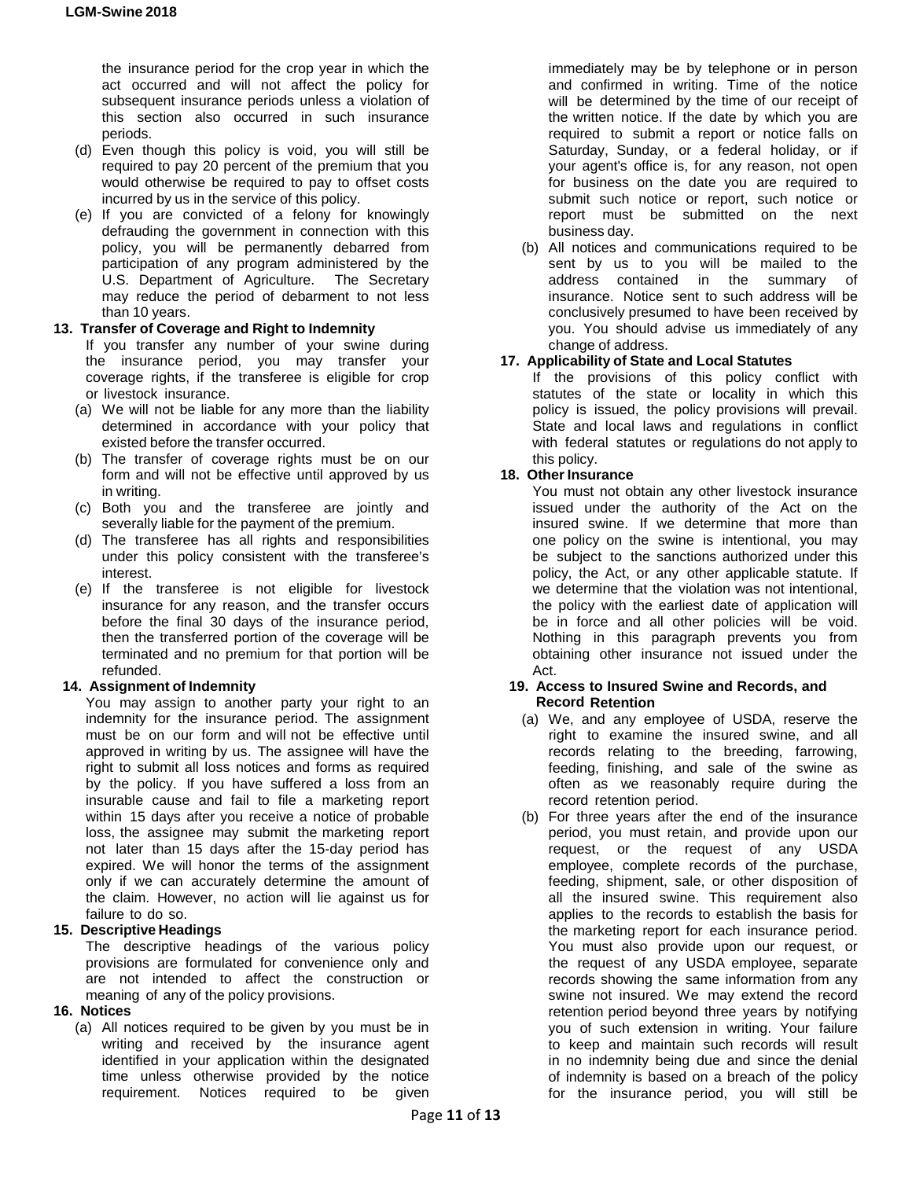the insurance period for the crop year in which the act occurred and will not affect the policy for subsequent insurance periods unless a violation of this section also occurred in such insurance periods.

- (d) Even though this policy is void, you will still be required to pay 20 percent of the premium that you would otherwise be required to pay to offset costs incurred by us in the service of this policy.
- (e) If you are convicted of a felony for knowingly defrauding the government in connection with this policy, you will be permanently debarred from participation of any program administered by the U.S. Department of Agriculture. The Secretary may reduce the period of debarment to not less than 10 years.

## **13. Transfer of Coverage and Right to Indemnity**

If you transfer any number of your swine during the insurance period, you may transfer your coverage rights, if the transferee is eligible for crop or livestock insurance.

- (a) We will not be liable for any more than the liability determined in accordance with your policy that existed before the transfer occurred.
- (b) The transfer of coverage rights must be on our form and will not be effective until approved by us in writing.
- (c) Both you and the transferee are jointly and severally liable for the payment of the premium.
- (d) The transferee has all rights and responsibilities under this policy consistent with the transferee's interest.
- (e) If the transferee is not eligible for livestock insurance for any reason, and the transfer occurs before the final 30 days of the insurance period, then the transferred portion of the coverage will be terminated and no premium for that portion will be refunded.

## **14. Assignment of Indemnity**

You may assign to another party your right to an indemnity for the insurance period. The assignment must be on our form and will not be effective until approved in writing by us. The assignee will have the right to submit all loss notices and forms as required by the policy. If you have suffered a loss from an insurable cause and fail to file a marketing report within 15 days after you receive a notice of probable loss, the assignee may submit the marketing report not later than 15 days after the 15-day period has expired. We will honor the terms of the assignment only if we can accurately determine the amount of the claim. However, no action will lie against us for failure to do so.

# **15. Descriptive Headings**

The descriptive headings of the various policy provisions are formulated for convenience only and are not intended to affect the construction or meaning of any of the policy provisions.

## **16. Notices**

(a) All notices required to be given by you must be in writing and received by the insurance agent identified in your application within the designated time unless otherwise provided by the notice requirement. Notices required to be given immediately may be by telephone or in person and confirmed in writing. Time of the notice will be determined by the time of our receipt of the written notice. If the date by which you are required to submit a report or notice falls on Saturday, Sunday, or a federal holiday, or if your agent's office is, for any reason, not open for business on the date you are required to submit such notice or report, such notice or report must be submitted on the next business day.

(b) All notices and communications required to be sent by us to you will be mailed to the address contained in the summary of insurance. Notice sent to such address will be conclusively presumed to have been received by you. You should advise us immediately of any change of address.

## **17. Applicability of State and Local Statutes**

If the provisions of this policy conflict with statutes of the state or locality in which this policy is issued, the policy provisions will prevail. State and local laws and regulations in conflict with federal statutes or regulations do not apply to this policy.

## **18. Other Insurance**

You must not obtain any other livestock insurance issued under the authority of the Act on the insured swine. If we determine that more than one policy on the swine is intentional, you may be subject to the sanctions authorized under this policy, the Act, or any other applicable statute. If we determine that the violation was not intentional, the policy with the earliest date of application will be in force and all other policies will be void. Nothing in this paragraph prevents you from obtaining other insurance not issued under the Act.

#### **19. Access to Insured Swine and Records, and Record Retention**

- (a) We, and any employee of USDA, reserve the right to examine the insured swine, and all records relating to the breeding, farrowing, feeding, finishing, and sale of the swine as often as we reasonably require during the record retention period.
- (b) For three years after the end of the insurance period, you must retain, and provide upon our request, or the request of any USDA employee, complete records of the purchase, feeding, shipment, sale, or other disposition of all the insured swine. This requirement also applies to the records to establish the basis for the marketing report for each insurance period. You must also provide upon our request, or the request of any USDA employee, separate records showing the same information from any swine not insured. We may extend the record retention period beyond three years by notifying you of such extension in writing. Your failure to keep and maintain such records will result in no indemnity being due and since the denial of indemnity is based on a breach of the policy for the insurance period, you will still be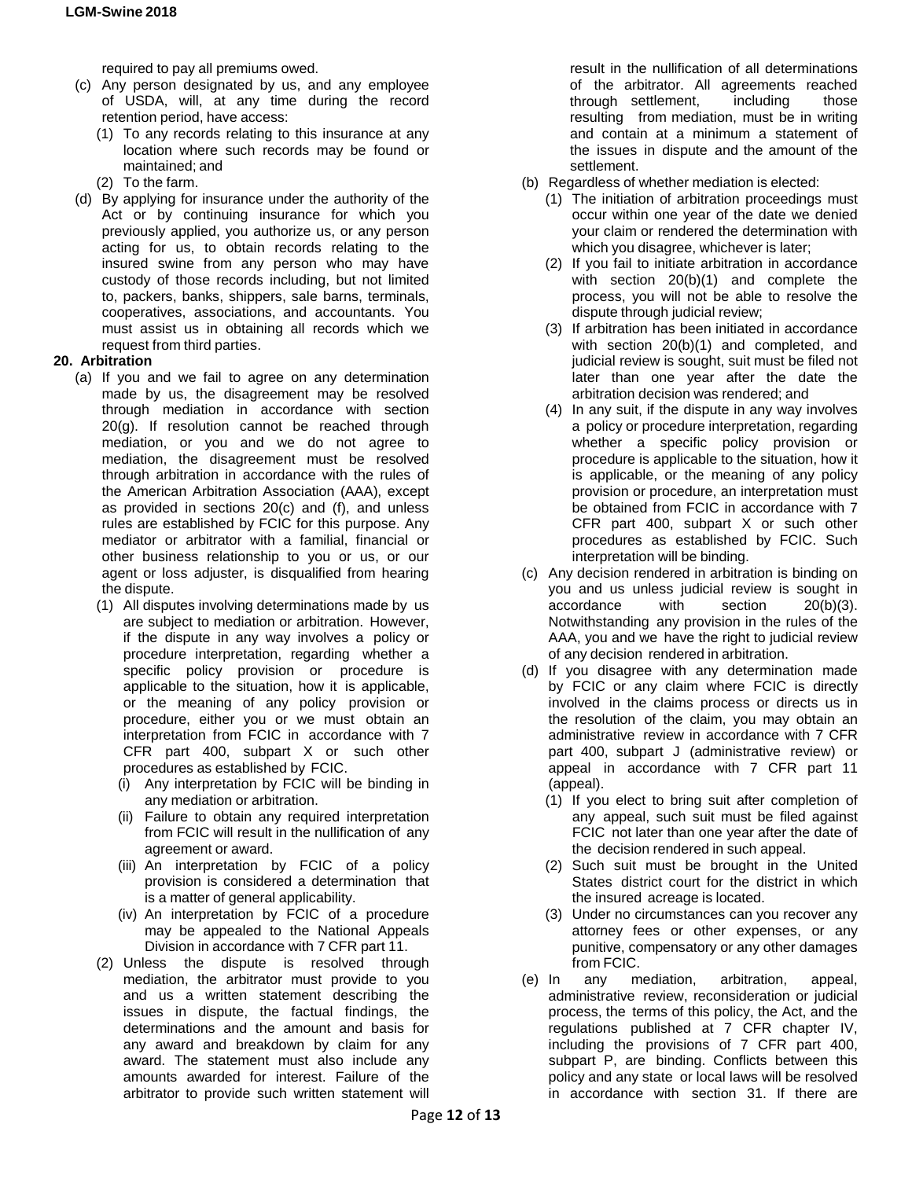required to pay all premiums owed.

- (c) Any person designated by us, and any employee of USDA, will, at any time during the record retention period, have access:
	- (1) To any records relating to this insurance at any location where such records may be found or maintained; and
	- (2) To the farm.
- (d) By applying for insurance under the authority of the Act or by continuing insurance for which you previously applied, you authorize us, or any person acting for us, to obtain records relating to the insured swine from any person who may have custody of those records including, but not limited to, packers, banks, shippers, sale barns, terminals, cooperatives, associations, and accountants. You must assist us in obtaining all records which we request from third parties.

## **20. Arbitration**

- (a) If you and we fail to agree on any determination made by us, the disagreement may be resolved through mediation in accordance with section 20(g). If resolution cannot be reached through mediation, or you and we do not agree to mediation, the disagreement must be resolved through arbitration in accordance with the rules of the American Arbitration Association (AAA), except as provided in sections 20(c) and (f), and unless rules are established by FCIC for this purpose. Any mediator or arbitrator with a familial, financial or other business relationship to you or us, or our agent or loss adjuster, is disqualified from hearing the dispute.
	- (1) All disputes involving determinations made by us are subject to mediation or arbitration. However, if the dispute in any way involves a policy or procedure interpretation, regarding whether a specific policy provision or procedure is applicable to the situation, how it is applicable, or the meaning of any policy provision or procedure, either you or we must obtain an interpretation from FCIC in accordance with 7 CFR part 400, subpart X or such other procedures as established by FCIC.
		- (i) Any interpretation by FCIC will be binding in any mediation or arbitration.
		- (ii) Failure to obtain any required interpretation from FCIC will result in the nullification of any agreement or award.
		- (iii) An interpretation by FCIC of a policy provision is considered a determination that is a matter of general applicability.
		- (iv) An interpretation by FCIC of a procedure may be appealed to the National Appeals Division in accordance with 7 CFR part 11.
	- (2) Unless the dispute is resolved through mediation, the arbitrator must provide to you and us a written statement describing the issues in dispute, the factual findings, the determinations and the amount and basis for any award and breakdown by claim for any award. The statement must also include any amounts awarded for interest. Failure of the arbitrator to provide such written statement will

result in the nullification of all determinations of the arbitrator. All agreements reached through settlement, including those resulting from mediation, must be in writing and contain at a minimum a statement of the issues in dispute and the amount of the settlement.

- (b) Regardless of whether mediation is elected:
	- (1) The initiation of arbitration proceedings must occur within one year of the date we denied your claim or rendered the determination with which you disagree, whichever is later;
	- (2) If you fail to initiate arbitration in accordance with section 20(b)(1) and complete the process, you will not be able to resolve the dispute through judicial review;
	- (3) If arbitration has been initiated in accordance with section 20(b)(1) and completed, and judicial review is sought, suit must be filed not later than one year after the date the arbitration decision was rendered; and
	- (4) In any suit, if the dispute in any way involves a policy or procedure interpretation, regarding whether a specific policy provision or procedure is applicable to the situation, how it is applicable, or the meaning of any policy provision or procedure, an interpretation must be obtained from FCIC in accordance with 7 CFR part 400, subpart X or such other procedures as established by FCIC. Such interpretation will be binding.
- (c) Any decision rendered in arbitration is binding on you and us unless judicial review is sought in accordance with section 20(b)(3). accordance with section Notwithstanding any provision in the rules of the AAA, you and we have the right to judicial review of any decision rendered in arbitration.
- (d) If you disagree with any determination made by FCIC or any claim where FCIC is directly involved in the claims process or directs us in the resolution of the claim, you may obtain an administrative review in accordance with 7 CFR part 400, subpart J (administrative review) or appeal in accordance with 7 CFR part 11 (appeal).
	- (1) If you elect to bring suit after completion of any appeal, such suit must be filed against FCIC not later than one year after the date of the decision rendered in such appeal.
	- (2) Such suit must be brought in the United States district court for the district in which the insured acreage is located.
	- (3) Under no circumstances can you recover any attorney fees or other expenses, or any punitive, compensatory or any other damages from FCIC.
- (e) In any mediation, arbitration, appeal, administrative review, reconsideration or judicial process, the terms of this policy, the Act, and the regulations published at 7 CFR chapter IV, including the provisions of 7 CFR part 400, subpart P, are binding. Conflicts between this policy and any state or local laws will be resolved in accordance with section 31. If there are